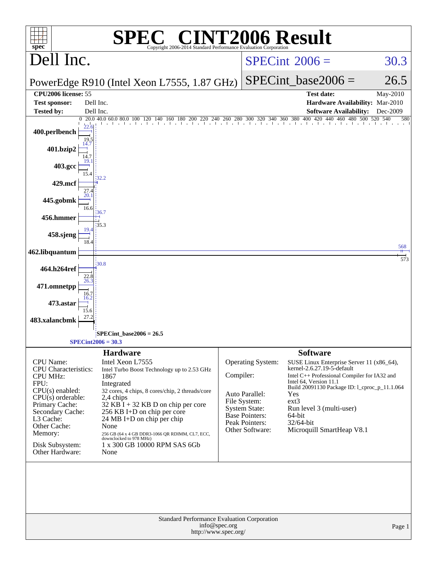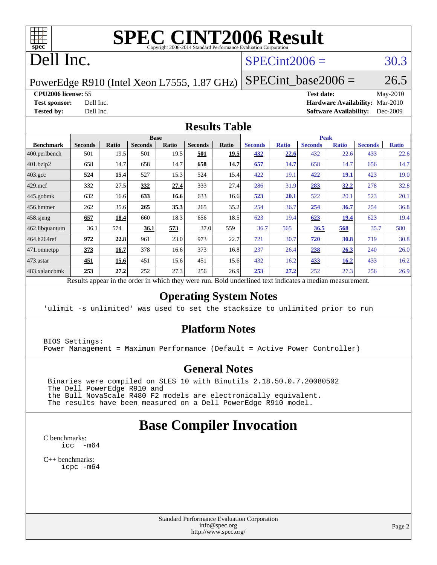

# **[SPEC CINT2006 Result](http://www.spec.org/auto/cpu2006/Docs/result-fields.html#SPECCINT2006Result)**

## Dell Inc.

### $SPECint2006 = 30.3$  $SPECint2006 = 30.3$

PowerEdge R910 (Intel Xeon L7555, 1.87 GHz)

 $SPECTnt\_base2006 = 26.5$ 

#### **[CPU2006 license:](http://www.spec.org/auto/cpu2006/Docs/result-fields.html#CPU2006license)** 55 **[Test date:](http://www.spec.org/auto/cpu2006/Docs/result-fields.html#Testdate)** May-2010

**[Test sponsor:](http://www.spec.org/auto/cpu2006/Docs/result-fields.html#Testsponsor)** Dell Inc. **[Hardware Availability:](http://www.spec.org/auto/cpu2006/Docs/result-fields.html#HardwareAvailability)** Mar-2010 **[Tested by:](http://www.spec.org/auto/cpu2006/Docs/result-fields.html#Testedby)** Dell Inc. **[Software Availability:](http://www.spec.org/auto/cpu2006/Docs/result-fields.html#SoftwareAvailability)** Dec-2009

#### **[Results Table](http://www.spec.org/auto/cpu2006/Docs/result-fields.html#ResultsTable)**

| <b>Seconds</b> | Ratio       | <b>Seconds</b> | Ratio | <b>Seconds</b> | Ratio | <b>Seconds</b> | <b>Ratio</b>         | <b>Seconds</b> | <b>Ratio</b> | <b>Seconds</b> | <b>Ratio</b> |
|----------------|-------------|----------------|-------|----------------|-------|----------------|----------------------|----------------|--------------|----------------|--------------|
| 501            | 19.5        | 501            | 19.5  | 501            | 19.5  | 432            | 22.6                 | 432            | 22.6         | 433            | 22.6         |
| 658            | 14.7        | 658            | 14.7  | 658            | 14.7  | 657            | 14.7                 | 658            | 14.7         | 656            | 14.7         |
| 524            | <u>15.4</u> | 527            | 15.3  | 524            | 15.4  | 422            | 19.1                 | 422            | <u>19.1</u>  | 423            | 19.0         |
| 332            | 27.5        | 332            | 27.4  | 333            | 27.4  | 286            | 31.9                 | <u>283</u>     | <u>32.2</u>  | 278            | 32.8         |
| 632            | 16.6        | 633            | 16.6  | 633            | 16.6  | 523            | 20.1                 | 522            | 20.1         | 523            | 20.1         |
| 262            | 35.6        | 265            | 35.3  | 265            | 35.2  | 254            | 36.7                 | 254            | 36.7         | 254            | 36.8         |
| 657            | 18.4        | 660            | 18.3  | 656            | 18.5  | 623            | 19.4                 | 623            | <u>19.4</u>  | 623            | 19.4         |
| 36.1           | 574         | 36.1           | 573   | 37.0           | 559   | 36.7           | 565                  | 36.5           | 568          | 35.7           | 580          |
| 972            | 22.8        | 961            | 23.0  | 973            | 22.7  | 721            | 30.7                 | 720            | 30.8         | 719            | 30.8         |
| 373            | 16.7        | 378            |       | 373            | 16.8  | 237            | 26.4                 | 238            | 26.3         | 240            | 26.0         |
| 451            | 15.6        | 451            | 15.6  | 451            | 15.6  | 432            | 16.2                 | 433            | 16.2         | 433            | 16.2         |
| 253            | 27.2        | 252            | 27.3  | 256            | 26.9  | 253            | 27.2                 | 252            | 27.3         | 256            | 26.9         |
|                |             |                |       | <b>Base</b>    | 16.6  |                | 1.1.1<br><b>D</b> 11 |                |              | <b>Peak</b>    |              |

Results appear in the [order in which they were run.](http://www.spec.org/auto/cpu2006/Docs/result-fields.html#RunOrder) Bold underlined text [indicates a median measurement.](http://www.spec.org/auto/cpu2006/Docs/result-fields.html#Median)

#### **[Operating System Notes](http://www.spec.org/auto/cpu2006/Docs/result-fields.html#OperatingSystemNotes)**

'ulimit -s unlimited' was used to set the stacksize to unlimited prior to run

#### **[Platform Notes](http://www.spec.org/auto/cpu2006/Docs/result-fields.html#PlatformNotes)**

BIOS Settings: Power Management = Maximum Performance (Default = Active Power Controller)

#### **[General Notes](http://www.spec.org/auto/cpu2006/Docs/result-fields.html#GeneralNotes)**

 Binaries were compiled on SLES 10 with Binutils 2.18.50.0.7.20080502 The Dell PowerEdge R910 and the Bull NovaScale R480 F2 models are electronically equivalent. The results have been measured on a Dell PowerEdge R910 model.

## **[Base Compiler Invocation](http://www.spec.org/auto/cpu2006/Docs/result-fields.html#BaseCompilerInvocation)**

[C benchmarks](http://www.spec.org/auto/cpu2006/Docs/result-fields.html#Cbenchmarks): [icc -m64](http://www.spec.org/cpu2006/results/res2010q3/cpu2006-20100621-11940.flags.html#user_CCbase_intel_icc_64bit_f346026e86af2a669e726fe758c88044)

[C++ benchmarks:](http://www.spec.org/auto/cpu2006/Docs/result-fields.html#CXXbenchmarks) [icpc -m64](http://www.spec.org/cpu2006/results/res2010q3/cpu2006-20100621-11940.flags.html#user_CXXbase_intel_icpc_64bit_fc66a5337ce925472a5c54ad6a0de310)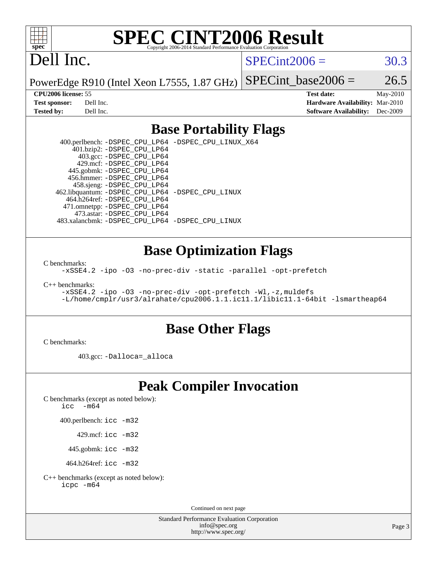

# **[SPEC CINT2006 Result](http://www.spec.org/auto/cpu2006/Docs/result-fields.html#SPECCINT2006Result)**

## Dell Inc.

 $SPECint2006 = 30.3$  $SPECint2006 = 30.3$ 

PowerEdge R910 (Intel Xeon L7555, 1.87 GHz) SPECint base2006 =  $26.5$ 

**[CPU2006 license:](http://www.spec.org/auto/cpu2006/Docs/result-fields.html#CPU2006license)** 55 **[Test date:](http://www.spec.org/auto/cpu2006/Docs/result-fields.html#Testdate)** May-2010 **[Test sponsor:](http://www.spec.org/auto/cpu2006/Docs/result-fields.html#Testsponsor)** Dell Inc. **[Hardware Availability:](http://www.spec.org/auto/cpu2006/Docs/result-fields.html#HardwareAvailability)** Mar-2010 **[Tested by:](http://www.spec.org/auto/cpu2006/Docs/result-fields.html#Testedby)** Dell Inc. **[Software Availability:](http://www.spec.org/auto/cpu2006/Docs/result-fields.html#SoftwareAvailability)** Dec-2009

#### **[Base Portability Flags](http://www.spec.org/auto/cpu2006/Docs/result-fields.html#BasePortabilityFlags)**

 400.perlbench: [-DSPEC\\_CPU\\_LP64](http://www.spec.org/cpu2006/results/res2010q3/cpu2006-20100621-11940.flags.html#b400.perlbench_basePORTABILITY_DSPEC_CPU_LP64) [-DSPEC\\_CPU\\_LINUX\\_X64](http://www.spec.org/cpu2006/results/res2010q3/cpu2006-20100621-11940.flags.html#b400.perlbench_baseCPORTABILITY_DSPEC_CPU_LINUX_X64) 401.bzip2: [-DSPEC\\_CPU\\_LP64](http://www.spec.org/cpu2006/results/res2010q3/cpu2006-20100621-11940.flags.html#suite_basePORTABILITY401_bzip2_DSPEC_CPU_LP64) 403.gcc: [-DSPEC\\_CPU\\_LP64](http://www.spec.org/cpu2006/results/res2010q3/cpu2006-20100621-11940.flags.html#suite_basePORTABILITY403_gcc_DSPEC_CPU_LP64) 429.mcf: [-DSPEC\\_CPU\\_LP64](http://www.spec.org/cpu2006/results/res2010q3/cpu2006-20100621-11940.flags.html#suite_basePORTABILITY429_mcf_DSPEC_CPU_LP64) 445.gobmk: [-DSPEC\\_CPU\\_LP64](http://www.spec.org/cpu2006/results/res2010q3/cpu2006-20100621-11940.flags.html#suite_basePORTABILITY445_gobmk_DSPEC_CPU_LP64) 456.hmmer: [-DSPEC\\_CPU\\_LP64](http://www.spec.org/cpu2006/results/res2010q3/cpu2006-20100621-11940.flags.html#suite_basePORTABILITY456_hmmer_DSPEC_CPU_LP64) 458.sjeng: [-DSPEC\\_CPU\\_LP64](http://www.spec.org/cpu2006/results/res2010q3/cpu2006-20100621-11940.flags.html#suite_basePORTABILITY458_sjeng_DSPEC_CPU_LP64) 462.libquantum: [-DSPEC\\_CPU\\_LP64](http://www.spec.org/cpu2006/results/res2010q3/cpu2006-20100621-11940.flags.html#suite_basePORTABILITY462_libquantum_DSPEC_CPU_LP64) [-DSPEC\\_CPU\\_LINUX](http://www.spec.org/cpu2006/results/res2010q3/cpu2006-20100621-11940.flags.html#b462.libquantum_baseCPORTABILITY_DSPEC_CPU_LINUX) 464.h264ref: [-DSPEC\\_CPU\\_LP64](http://www.spec.org/cpu2006/results/res2010q3/cpu2006-20100621-11940.flags.html#suite_basePORTABILITY464_h264ref_DSPEC_CPU_LP64) 471.omnetpp: [-DSPEC\\_CPU\\_LP64](http://www.spec.org/cpu2006/results/res2010q3/cpu2006-20100621-11940.flags.html#suite_basePORTABILITY471_omnetpp_DSPEC_CPU_LP64) 473.astar: [-DSPEC\\_CPU\\_LP64](http://www.spec.org/cpu2006/results/res2010q3/cpu2006-20100621-11940.flags.html#suite_basePORTABILITY473_astar_DSPEC_CPU_LP64) 483.xalancbmk: [-DSPEC\\_CPU\\_LP64](http://www.spec.org/cpu2006/results/res2010q3/cpu2006-20100621-11940.flags.html#suite_basePORTABILITY483_xalancbmk_DSPEC_CPU_LP64) [-DSPEC\\_CPU\\_LINUX](http://www.spec.org/cpu2006/results/res2010q3/cpu2006-20100621-11940.flags.html#b483.xalancbmk_baseCXXPORTABILITY_DSPEC_CPU_LINUX)

#### **[Base Optimization Flags](http://www.spec.org/auto/cpu2006/Docs/result-fields.html#BaseOptimizationFlags)**

[C benchmarks](http://www.spec.org/auto/cpu2006/Docs/result-fields.html#Cbenchmarks):

[-xSSE4.2](http://www.spec.org/cpu2006/results/res2010q3/cpu2006-20100621-11940.flags.html#user_CCbase_f-xSSE42_f91528193cf0b216347adb8b939d4107) [-ipo](http://www.spec.org/cpu2006/results/res2010q3/cpu2006-20100621-11940.flags.html#user_CCbase_f-ipo) [-O3](http://www.spec.org/cpu2006/results/res2010q3/cpu2006-20100621-11940.flags.html#user_CCbase_f-O3) [-no-prec-div](http://www.spec.org/cpu2006/results/res2010q3/cpu2006-20100621-11940.flags.html#user_CCbase_f-no-prec-div) [-static](http://www.spec.org/cpu2006/results/res2010q3/cpu2006-20100621-11940.flags.html#user_CCbase_f-static) [-parallel](http://www.spec.org/cpu2006/results/res2010q3/cpu2006-20100621-11940.flags.html#user_CCbase_f-parallel) [-opt-prefetch](http://www.spec.org/cpu2006/results/res2010q3/cpu2006-20100621-11940.flags.html#user_CCbase_f-opt-prefetch)

[C++ benchmarks:](http://www.spec.org/auto/cpu2006/Docs/result-fields.html#CXXbenchmarks)

[-xSSE4.2](http://www.spec.org/cpu2006/results/res2010q3/cpu2006-20100621-11940.flags.html#user_CXXbase_f-xSSE42_f91528193cf0b216347adb8b939d4107) [-ipo](http://www.spec.org/cpu2006/results/res2010q3/cpu2006-20100621-11940.flags.html#user_CXXbase_f-ipo) [-O3](http://www.spec.org/cpu2006/results/res2010q3/cpu2006-20100621-11940.flags.html#user_CXXbase_f-O3) [-no-prec-div](http://www.spec.org/cpu2006/results/res2010q3/cpu2006-20100621-11940.flags.html#user_CXXbase_f-no-prec-div) [-opt-prefetch](http://www.spec.org/cpu2006/results/res2010q3/cpu2006-20100621-11940.flags.html#user_CXXbase_f-opt-prefetch) [-Wl,-z,muldefs](http://www.spec.org/cpu2006/results/res2010q3/cpu2006-20100621-11940.flags.html#user_CXXbase_link_force_multiple1_74079c344b956b9658436fd1b6dd3a8a) [-L/home/cmplr/usr3/alrahate/cpu2006.1.1.ic11.1/libic11.1-64bit -lsmartheap64](http://www.spec.org/cpu2006/results/res2010q3/cpu2006-20100621-11940.flags.html#user_CXXbase_SmartHeap64_e2306cda84805d1ab360117a79ff779c)

#### **[Base Other Flags](http://www.spec.org/auto/cpu2006/Docs/result-fields.html#BaseOtherFlags)**

[C benchmarks](http://www.spec.org/auto/cpu2006/Docs/result-fields.html#Cbenchmarks):

403.gcc: [-Dalloca=\\_alloca](http://www.spec.org/cpu2006/results/res2010q3/cpu2006-20100621-11940.flags.html#b403.gcc_baseEXTRA_CFLAGS_Dalloca_be3056838c12de2578596ca5467af7f3)

## **[Peak Compiler Invocation](http://www.spec.org/auto/cpu2006/Docs/result-fields.html#PeakCompilerInvocation)**

[C benchmarks \(except as noted below\)](http://www.spec.org/auto/cpu2006/Docs/result-fields.html#Cbenchmarksexceptasnotedbelow):

[icc -m64](http://www.spec.org/cpu2006/results/res2010q3/cpu2006-20100621-11940.flags.html#user_CCpeak_intel_icc_64bit_f346026e86af2a669e726fe758c88044)

400.perlbench: [icc -m32](http://www.spec.org/cpu2006/results/res2010q3/cpu2006-20100621-11940.flags.html#user_peakCCLD400_perlbench_intel_icc_32bit_a6a621f8d50482236b970c6ac5f55f93)

429.mcf: [icc -m32](http://www.spec.org/cpu2006/results/res2010q3/cpu2006-20100621-11940.flags.html#user_peakCCLD429_mcf_intel_icc_32bit_a6a621f8d50482236b970c6ac5f55f93)

445.gobmk: [icc -m32](http://www.spec.org/cpu2006/results/res2010q3/cpu2006-20100621-11940.flags.html#user_peakCCLD445_gobmk_intel_icc_32bit_a6a621f8d50482236b970c6ac5f55f93)

464.h264ref: [icc -m32](http://www.spec.org/cpu2006/results/res2010q3/cpu2006-20100621-11940.flags.html#user_peakCCLD464_h264ref_intel_icc_32bit_a6a621f8d50482236b970c6ac5f55f93)

[C++ benchmarks \(except as noted below\):](http://www.spec.org/auto/cpu2006/Docs/result-fields.html#CXXbenchmarksexceptasnotedbelow) [icpc -m64](http://www.spec.org/cpu2006/results/res2010q3/cpu2006-20100621-11940.flags.html#user_CXXpeak_intel_icpc_64bit_fc66a5337ce925472a5c54ad6a0de310)

Continued on next page

Standard Performance Evaluation Corporation [info@spec.org](mailto:info@spec.org) <http://www.spec.org/>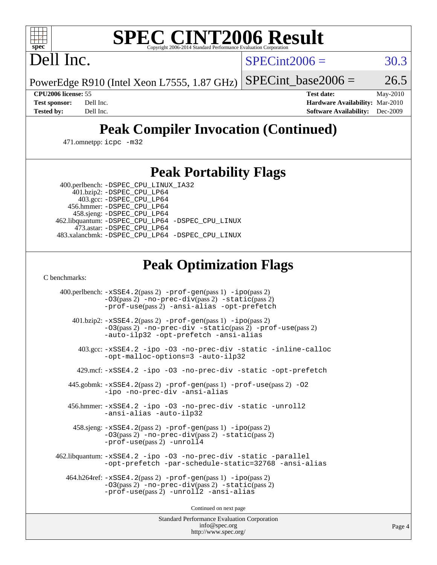# **[SPEC CINT2006 Result](http://www.spec.org/auto/cpu2006/Docs/result-fields.html#SPECCINT2006Result)**

Dell Inc.

 $SPECint2006 = 30.3$  $SPECint2006 = 30.3$ 

PowerEdge R910 (Intel Xeon L7555, 1.87 GHz) SPECint base2006 =  $26.5$ 

**[CPU2006 license:](http://www.spec.org/auto/cpu2006/Docs/result-fields.html#CPU2006license)** 55 **[Test date:](http://www.spec.org/auto/cpu2006/Docs/result-fields.html#Testdate)** May-2010 **[Test sponsor:](http://www.spec.org/auto/cpu2006/Docs/result-fields.html#Testsponsor)** Dell Inc. **[Hardware Availability:](http://www.spec.org/auto/cpu2006/Docs/result-fields.html#HardwareAvailability)** Mar-2010 **[Tested by:](http://www.spec.org/auto/cpu2006/Docs/result-fields.html#Testedby)** Dell Inc. **[Software Availability:](http://www.spec.org/auto/cpu2006/Docs/result-fields.html#SoftwareAvailability)** Dec-2009

## **[Peak Compiler Invocation \(Continued\)](http://www.spec.org/auto/cpu2006/Docs/result-fields.html#PeakCompilerInvocation)**

471.omnetpp: [icpc -m32](http://www.spec.org/cpu2006/results/res2010q3/cpu2006-20100621-11940.flags.html#user_peakCXXLD471_omnetpp_intel_icpc_32bit_4e5a5ef1a53fd332b3c49e69c3330699)

### **[Peak Portability Flags](http://www.spec.org/auto/cpu2006/Docs/result-fields.html#PeakPortabilityFlags)**

 400.perlbench: [-DSPEC\\_CPU\\_LINUX\\_IA32](http://www.spec.org/cpu2006/results/res2010q3/cpu2006-20100621-11940.flags.html#b400.perlbench_peakCPORTABILITY_DSPEC_CPU_LINUX_IA32) 401.bzip2: [-DSPEC\\_CPU\\_LP64](http://www.spec.org/cpu2006/results/res2010q3/cpu2006-20100621-11940.flags.html#suite_peakPORTABILITY401_bzip2_DSPEC_CPU_LP64)

 403.gcc: [-DSPEC\\_CPU\\_LP64](http://www.spec.org/cpu2006/results/res2010q3/cpu2006-20100621-11940.flags.html#suite_peakPORTABILITY403_gcc_DSPEC_CPU_LP64) 456.hmmer: [-DSPEC\\_CPU\\_LP64](http://www.spec.org/cpu2006/results/res2010q3/cpu2006-20100621-11940.flags.html#suite_peakPORTABILITY456_hmmer_DSPEC_CPU_LP64) 458.sjeng: [-DSPEC\\_CPU\\_LP64](http://www.spec.org/cpu2006/results/res2010q3/cpu2006-20100621-11940.flags.html#suite_peakPORTABILITY458_sjeng_DSPEC_CPU_LP64) 462.libquantum: [-DSPEC\\_CPU\\_LP64](http://www.spec.org/cpu2006/results/res2010q3/cpu2006-20100621-11940.flags.html#suite_peakPORTABILITY462_libquantum_DSPEC_CPU_LP64) [-DSPEC\\_CPU\\_LINUX](http://www.spec.org/cpu2006/results/res2010q3/cpu2006-20100621-11940.flags.html#b462.libquantum_peakCPORTABILITY_DSPEC_CPU_LINUX) 473.astar: [-DSPEC\\_CPU\\_LP64](http://www.spec.org/cpu2006/results/res2010q3/cpu2006-20100621-11940.flags.html#suite_peakPORTABILITY473_astar_DSPEC_CPU_LP64) 483.xalancbmk: [-DSPEC\\_CPU\\_LP64](http://www.spec.org/cpu2006/results/res2010q3/cpu2006-20100621-11940.flags.html#suite_peakPORTABILITY483_xalancbmk_DSPEC_CPU_LP64) [-DSPEC\\_CPU\\_LINUX](http://www.spec.org/cpu2006/results/res2010q3/cpu2006-20100621-11940.flags.html#b483.xalancbmk_peakCXXPORTABILITY_DSPEC_CPU_LINUX)

## **[Peak Optimization Flags](http://www.spec.org/auto/cpu2006/Docs/result-fields.html#PeakOptimizationFlags)**

[C benchmarks](http://www.spec.org/auto/cpu2006/Docs/result-fields.html#Cbenchmarks):

 400.perlbench: [-xSSE4.2](http://www.spec.org/cpu2006/results/res2010q3/cpu2006-20100621-11940.flags.html#user_peakPASS2_CFLAGSPASS2_LDCFLAGS400_perlbench_f-xSSE42_f91528193cf0b216347adb8b939d4107)(pass 2) [-prof-gen](http://www.spec.org/cpu2006/results/res2010q3/cpu2006-20100621-11940.flags.html#user_peakPASS1_CFLAGSPASS1_LDCFLAGS400_perlbench_prof_gen_e43856698f6ca7b7e442dfd80e94a8fc)(pass 1) [-ipo](http://www.spec.org/cpu2006/results/res2010q3/cpu2006-20100621-11940.flags.html#user_peakPASS2_CFLAGSPASS2_LDCFLAGS400_perlbench_f-ipo)(pass 2) [-O3](http://www.spec.org/cpu2006/results/res2010q3/cpu2006-20100621-11940.flags.html#user_peakPASS2_CFLAGSPASS2_LDCFLAGS400_perlbench_f-O3)(pass 2) [-no-prec-div](http://www.spec.org/cpu2006/results/res2010q3/cpu2006-20100621-11940.flags.html#user_peakPASS2_CFLAGSPASS2_LDCFLAGS400_perlbench_f-no-prec-div)(pass 2) [-static](http://www.spec.org/cpu2006/results/res2010q3/cpu2006-20100621-11940.flags.html#user_peakPASS2_CFLAGSPASS2_LDCFLAGS400_perlbench_f-static)(pass 2) [-prof-use](http://www.spec.org/cpu2006/results/res2010q3/cpu2006-20100621-11940.flags.html#user_peakPASS2_CFLAGSPASS2_LDCFLAGS400_perlbench_prof_use_bccf7792157ff70d64e32fe3e1250b55)(pass 2) [-ansi-alias](http://www.spec.org/cpu2006/results/res2010q3/cpu2006-20100621-11940.flags.html#user_peakCOPTIMIZE400_perlbench_f-ansi-alias) [-opt-prefetch](http://www.spec.org/cpu2006/results/res2010q3/cpu2006-20100621-11940.flags.html#user_peakCOPTIMIZE400_perlbench_f-opt-prefetch) 401.bzip2: [-xSSE4.2](http://www.spec.org/cpu2006/results/res2010q3/cpu2006-20100621-11940.flags.html#user_peakPASS2_CFLAGSPASS2_LDCFLAGS401_bzip2_f-xSSE42_f91528193cf0b216347adb8b939d4107)(pass 2) [-prof-gen](http://www.spec.org/cpu2006/results/res2010q3/cpu2006-20100621-11940.flags.html#user_peakPASS1_CFLAGSPASS1_LDCFLAGS401_bzip2_prof_gen_e43856698f6ca7b7e442dfd80e94a8fc)(pass 1) [-ipo](http://www.spec.org/cpu2006/results/res2010q3/cpu2006-20100621-11940.flags.html#user_peakPASS2_CFLAGSPASS2_LDCFLAGS401_bzip2_f-ipo)(pass 2) [-O3](http://www.spec.org/cpu2006/results/res2010q3/cpu2006-20100621-11940.flags.html#user_peakPASS2_CFLAGSPASS2_LDCFLAGS401_bzip2_f-O3)(pass 2) [-no-prec-div](http://www.spec.org/cpu2006/results/res2010q3/cpu2006-20100621-11940.flags.html#user_peakCOPTIMIZEPASS2_CFLAGSPASS2_LDCFLAGS401_bzip2_f-no-prec-div) [-static](http://www.spec.org/cpu2006/results/res2010q3/cpu2006-20100621-11940.flags.html#user_peakPASS2_CFLAGSPASS2_LDCFLAGS401_bzip2_f-static)(pass 2) [-prof-use](http://www.spec.org/cpu2006/results/res2010q3/cpu2006-20100621-11940.flags.html#user_peakPASS2_CFLAGSPASS2_LDCFLAGS401_bzip2_prof_use_bccf7792157ff70d64e32fe3e1250b55)(pass 2) [-auto-ilp32](http://www.spec.org/cpu2006/results/res2010q3/cpu2006-20100621-11940.flags.html#user_peakCOPTIMIZE401_bzip2_f-auto-ilp32) [-opt-prefetch](http://www.spec.org/cpu2006/results/res2010q3/cpu2006-20100621-11940.flags.html#user_peakCOPTIMIZE401_bzip2_f-opt-prefetch) [-ansi-alias](http://www.spec.org/cpu2006/results/res2010q3/cpu2006-20100621-11940.flags.html#user_peakCOPTIMIZE401_bzip2_f-ansi-alias) 403.gcc: [-xSSE4.2](http://www.spec.org/cpu2006/results/res2010q3/cpu2006-20100621-11940.flags.html#user_peakCOPTIMIZE403_gcc_f-xSSE42_f91528193cf0b216347adb8b939d4107) [-ipo](http://www.spec.org/cpu2006/results/res2010q3/cpu2006-20100621-11940.flags.html#user_peakCOPTIMIZE403_gcc_f-ipo) [-O3](http://www.spec.org/cpu2006/results/res2010q3/cpu2006-20100621-11940.flags.html#user_peakCOPTIMIZE403_gcc_f-O3) [-no-prec-div](http://www.spec.org/cpu2006/results/res2010q3/cpu2006-20100621-11940.flags.html#user_peakCOPTIMIZE403_gcc_f-no-prec-div) [-static](http://www.spec.org/cpu2006/results/res2010q3/cpu2006-20100621-11940.flags.html#user_peakCOPTIMIZE403_gcc_f-static) [-inline-calloc](http://www.spec.org/cpu2006/results/res2010q3/cpu2006-20100621-11940.flags.html#user_peakCOPTIMIZE403_gcc_f-inline-calloc) [-opt-malloc-options=3](http://www.spec.org/cpu2006/results/res2010q3/cpu2006-20100621-11940.flags.html#user_peakCOPTIMIZE403_gcc_f-opt-malloc-options_13ab9b803cf986b4ee62f0a5998c2238) [-auto-ilp32](http://www.spec.org/cpu2006/results/res2010q3/cpu2006-20100621-11940.flags.html#user_peakCOPTIMIZE403_gcc_f-auto-ilp32) 429.mcf: [-xSSE4.2](http://www.spec.org/cpu2006/results/res2010q3/cpu2006-20100621-11940.flags.html#user_peakCOPTIMIZE429_mcf_f-xSSE42_f91528193cf0b216347adb8b939d4107) [-ipo](http://www.spec.org/cpu2006/results/res2010q3/cpu2006-20100621-11940.flags.html#user_peakCOPTIMIZE429_mcf_f-ipo) [-O3](http://www.spec.org/cpu2006/results/res2010q3/cpu2006-20100621-11940.flags.html#user_peakCOPTIMIZE429_mcf_f-O3) [-no-prec-div](http://www.spec.org/cpu2006/results/res2010q3/cpu2006-20100621-11940.flags.html#user_peakCOPTIMIZE429_mcf_f-no-prec-div) [-static](http://www.spec.org/cpu2006/results/res2010q3/cpu2006-20100621-11940.flags.html#user_peakCOPTIMIZE429_mcf_f-static) [-opt-prefetch](http://www.spec.org/cpu2006/results/res2010q3/cpu2006-20100621-11940.flags.html#user_peakCOPTIMIZE429_mcf_f-opt-prefetch) 445.gobmk: [-xSSE4.2](http://www.spec.org/cpu2006/results/res2010q3/cpu2006-20100621-11940.flags.html#user_peakPASS2_CFLAGSPASS2_LDCFLAGS445_gobmk_f-xSSE42_f91528193cf0b216347adb8b939d4107)(pass 2) [-prof-gen](http://www.spec.org/cpu2006/results/res2010q3/cpu2006-20100621-11940.flags.html#user_peakPASS1_CFLAGSPASS1_LDCFLAGS445_gobmk_prof_gen_e43856698f6ca7b7e442dfd80e94a8fc)(pass 1) [-prof-use](http://www.spec.org/cpu2006/results/res2010q3/cpu2006-20100621-11940.flags.html#user_peakPASS2_CFLAGSPASS2_LDCFLAGS445_gobmk_prof_use_bccf7792157ff70d64e32fe3e1250b55)(pass 2) [-O2](http://www.spec.org/cpu2006/results/res2010q3/cpu2006-20100621-11940.flags.html#user_peakCOPTIMIZE445_gobmk_f-O2) [-ipo](http://www.spec.org/cpu2006/results/res2010q3/cpu2006-20100621-11940.flags.html#user_peakCOPTIMIZE445_gobmk_f-ipo) [-no-prec-div](http://www.spec.org/cpu2006/results/res2010q3/cpu2006-20100621-11940.flags.html#user_peakCOPTIMIZE445_gobmk_f-no-prec-div) [-ansi-alias](http://www.spec.org/cpu2006/results/res2010q3/cpu2006-20100621-11940.flags.html#user_peakCOPTIMIZE445_gobmk_f-ansi-alias) 456.hmmer: [-xSSE4.2](http://www.spec.org/cpu2006/results/res2010q3/cpu2006-20100621-11940.flags.html#user_peakCOPTIMIZE456_hmmer_f-xSSE42_f91528193cf0b216347adb8b939d4107) [-ipo](http://www.spec.org/cpu2006/results/res2010q3/cpu2006-20100621-11940.flags.html#user_peakCOPTIMIZE456_hmmer_f-ipo) [-O3](http://www.spec.org/cpu2006/results/res2010q3/cpu2006-20100621-11940.flags.html#user_peakCOPTIMIZE456_hmmer_f-O3) [-no-prec-div](http://www.spec.org/cpu2006/results/res2010q3/cpu2006-20100621-11940.flags.html#user_peakCOPTIMIZE456_hmmer_f-no-prec-div) [-static](http://www.spec.org/cpu2006/results/res2010q3/cpu2006-20100621-11940.flags.html#user_peakCOPTIMIZE456_hmmer_f-static) [-unroll2](http://www.spec.org/cpu2006/results/res2010q3/cpu2006-20100621-11940.flags.html#user_peakCOPTIMIZE456_hmmer_f-unroll_784dae83bebfb236979b41d2422d7ec2) [-ansi-alias](http://www.spec.org/cpu2006/results/res2010q3/cpu2006-20100621-11940.flags.html#user_peakCOPTIMIZE456_hmmer_f-ansi-alias) [-auto-ilp32](http://www.spec.org/cpu2006/results/res2010q3/cpu2006-20100621-11940.flags.html#user_peakCOPTIMIZE456_hmmer_f-auto-ilp32) 458.sjeng: [-xSSE4.2](http://www.spec.org/cpu2006/results/res2010q3/cpu2006-20100621-11940.flags.html#user_peakPASS2_CFLAGSPASS2_LDCFLAGS458_sjeng_f-xSSE42_f91528193cf0b216347adb8b939d4107)(pass 2) [-prof-gen](http://www.spec.org/cpu2006/results/res2010q3/cpu2006-20100621-11940.flags.html#user_peakPASS1_CFLAGSPASS1_LDCFLAGS458_sjeng_prof_gen_e43856698f6ca7b7e442dfd80e94a8fc)(pass 1) [-ipo](http://www.spec.org/cpu2006/results/res2010q3/cpu2006-20100621-11940.flags.html#user_peakPASS2_CFLAGSPASS2_LDCFLAGS458_sjeng_f-ipo)(pass 2) [-O3](http://www.spec.org/cpu2006/results/res2010q3/cpu2006-20100621-11940.flags.html#user_peakPASS2_CFLAGSPASS2_LDCFLAGS458_sjeng_f-O3)(pass 2) [-no-prec-div](http://www.spec.org/cpu2006/results/res2010q3/cpu2006-20100621-11940.flags.html#user_peakPASS2_CFLAGSPASS2_LDCFLAGS458_sjeng_f-no-prec-div)(pass 2) [-static](http://www.spec.org/cpu2006/results/res2010q3/cpu2006-20100621-11940.flags.html#user_peakPASS2_CFLAGSPASS2_LDCFLAGS458_sjeng_f-static)(pass 2) [-prof-use](http://www.spec.org/cpu2006/results/res2010q3/cpu2006-20100621-11940.flags.html#user_peakPASS2_CFLAGSPASS2_LDCFLAGS458_sjeng_prof_use_bccf7792157ff70d64e32fe3e1250b55)(pass 2) [-unroll4](http://www.spec.org/cpu2006/results/res2010q3/cpu2006-20100621-11940.flags.html#user_peakCOPTIMIZE458_sjeng_f-unroll_4e5e4ed65b7fd20bdcd365bec371b81f) 462.libquantum: [-xSSE4.2](http://www.spec.org/cpu2006/results/res2010q3/cpu2006-20100621-11940.flags.html#user_peakCOPTIMIZE462_libquantum_f-xSSE42_f91528193cf0b216347adb8b939d4107) [-ipo](http://www.spec.org/cpu2006/results/res2010q3/cpu2006-20100621-11940.flags.html#user_peakCOPTIMIZE462_libquantum_f-ipo) [-O3](http://www.spec.org/cpu2006/results/res2010q3/cpu2006-20100621-11940.flags.html#user_peakCOPTIMIZE462_libquantum_f-O3) [-no-prec-div](http://www.spec.org/cpu2006/results/res2010q3/cpu2006-20100621-11940.flags.html#user_peakCOPTIMIZE462_libquantum_f-no-prec-div) [-static](http://www.spec.org/cpu2006/results/res2010q3/cpu2006-20100621-11940.flags.html#user_peakCOPTIMIZE462_libquantum_f-static) [-parallel](http://www.spec.org/cpu2006/results/res2010q3/cpu2006-20100621-11940.flags.html#user_peakCOPTIMIZE462_libquantum_f-parallel) [-opt-prefetch](http://www.spec.org/cpu2006/results/res2010q3/cpu2006-20100621-11940.flags.html#user_peakCOPTIMIZE462_libquantum_f-opt-prefetch) [-par-schedule-static=32768](http://www.spec.org/cpu2006/results/res2010q3/cpu2006-20100621-11940.flags.html#user_peakCOPTIMIZE462_libquantum_f-par-schedule_9386bcd99ba64e99ee01d1aafefddd14) [-ansi-alias](http://www.spec.org/cpu2006/results/res2010q3/cpu2006-20100621-11940.flags.html#user_peakCOPTIMIZE462_libquantum_f-ansi-alias) 464.h264ref: [-xSSE4.2](http://www.spec.org/cpu2006/results/res2010q3/cpu2006-20100621-11940.flags.html#user_peakPASS2_CFLAGSPASS2_LDCFLAGS464_h264ref_f-xSSE42_f91528193cf0b216347adb8b939d4107)(pass 2) [-prof-gen](http://www.spec.org/cpu2006/results/res2010q3/cpu2006-20100621-11940.flags.html#user_peakPASS1_CFLAGSPASS1_LDCFLAGS464_h264ref_prof_gen_e43856698f6ca7b7e442dfd80e94a8fc)(pass 1) [-ipo](http://www.spec.org/cpu2006/results/res2010q3/cpu2006-20100621-11940.flags.html#user_peakPASS2_CFLAGSPASS2_LDCFLAGS464_h264ref_f-ipo)(pass 2) [-O3](http://www.spec.org/cpu2006/results/res2010q3/cpu2006-20100621-11940.flags.html#user_peakPASS2_CFLAGSPASS2_LDCFLAGS464_h264ref_f-O3)(pass 2) [-no-prec-div](http://www.spec.org/cpu2006/results/res2010q3/cpu2006-20100621-11940.flags.html#user_peakPASS2_CFLAGSPASS2_LDCFLAGS464_h264ref_f-no-prec-div)(pass 2) [-static](http://www.spec.org/cpu2006/results/res2010q3/cpu2006-20100621-11940.flags.html#user_peakPASS2_CFLAGSPASS2_LDCFLAGS464_h264ref_f-static)(pass 2) [-prof-use](http://www.spec.org/cpu2006/results/res2010q3/cpu2006-20100621-11940.flags.html#user_peakPASS2_CFLAGSPASS2_LDCFLAGS464_h264ref_prof_use_bccf7792157ff70d64e32fe3e1250b55)(pass 2) [-unroll2](http://www.spec.org/cpu2006/results/res2010q3/cpu2006-20100621-11940.flags.html#user_peakCOPTIMIZE464_h264ref_f-unroll_784dae83bebfb236979b41d2422d7ec2) [-ansi-alias](http://www.spec.org/cpu2006/results/res2010q3/cpu2006-20100621-11940.flags.html#user_peakCOPTIMIZE464_h264ref_f-ansi-alias)

Continued on next page

Standard Performance Evaluation Corporation [info@spec.org](mailto:info@spec.org) <http://www.spec.org/>